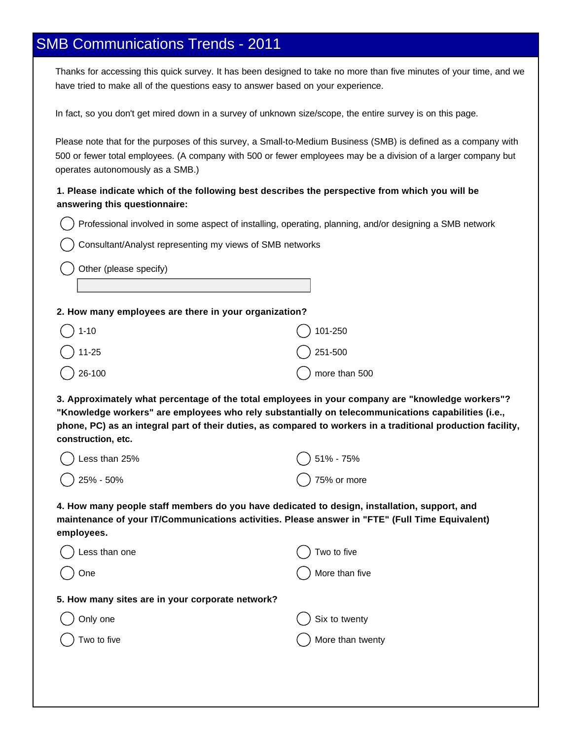## SMB Communications Trends - 2011

Thanks for accessing this quick survey. It has been designed to take no more than five minutes of your time, and we have tried to make all of the questions easy to answer based on your experience.

In fact, so you don't get mired down in a survey of unknown size/scope, the entire survey is on this page.

Please note that for the purposes of this survey, a Small-to-Medium Business (SMB) is defined as a company with 500 or fewer total employees. (A company with 500 or fewer employees may be a division of a larger company but operates autonomously as a SMB.)

### **1. Please indicate which of the following best describes the perspective from which you will be answering this questionnaire:**

Professional involved in some aspect of installing, operating, planning, and/or designing a SMB network

Consultant/Analyst representing my views of SMB networks

Other (please specify)

#### **2. How many employees are there in your organization?**

| $\bigcap$ 1-10    | $()$ 101-250             |
|-------------------|--------------------------|
| $\bigcirc$ 11-25  | $\bigcirc$ 251-500       |
| $\bigcirc$ 26-100 | $\bigcirc$ more than 500 |

**3. Approximately what percentage of the total employees in your company are "knowledge workers"? "Knowledge workers" are employees who rely substantially on telecommunications capabilities (i.e., phone, PC) as an integral part of their duties, as compared to workers in a traditional production facility, construction, etc.**

| $\bigcirc$ Less than 25% | $()$ 51% - 75%        |
|--------------------------|-----------------------|
| $\bigcirc$ 25% - 50%     | $\bigcap$ 75% or more |

**4. How many people staff members do you have dedicated to design, installation, support, and maintenance of your IT/Communications activities. Please answer in "FTE" (Full Time Equivalent) employees.**

| Less than one                                    | Two to five        |
|--------------------------------------------------|--------------------|
| One                                              | More than five     |
| 5. How many sites are in your corporate network? |                    |
| Only one                                         | Six to twenty      |
| Two to five                                      | ) More than twenty |
|                                                  |                    |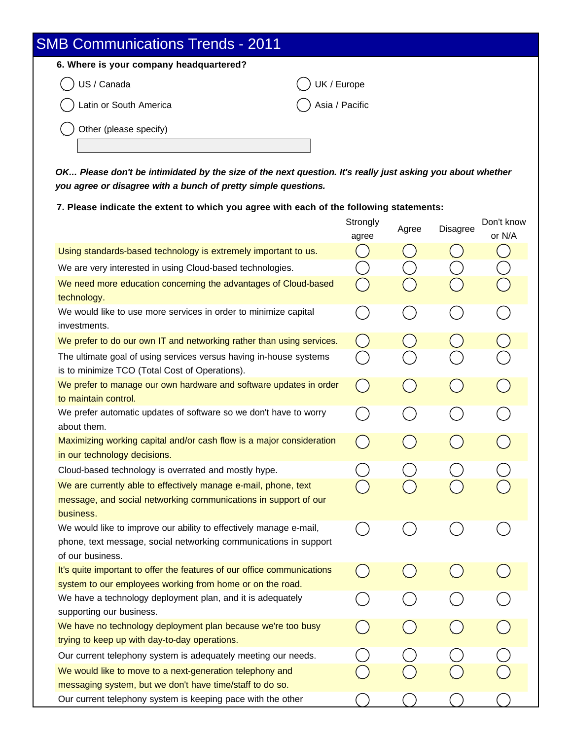| <b>SMB Communications Trends - 2011</b> |                |
|-----------------------------------------|----------------|
| 6. Where is your company headquartered? |                |
| US / Canada                             | UK / Europe    |
| Latin or South America                  | Asia / Pacific |
| Other (please specify)                  |                |
|                                         |                |

**OK... Please don't be intimidated by the size of the next question. It's really just asking you about whether you agree or disagree with a bunch of pretty simple questions.**

**7. Please indicate the extent to which you agree with each of the following statements:**

|                                                                                                                                                            | Strongly<br>agree                      | Agree | Disagree | Don't know<br>or N/A |
|------------------------------------------------------------------------------------------------------------------------------------------------------------|----------------------------------------|-------|----------|----------------------|
| Using standards-based technology is extremely important to us.                                                                                             | $\begin{pmatrix} 1 \\ 1 \end{pmatrix}$ |       |          |                      |
| We are very interested in using Cloud-based technologies.                                                                                                  | $\mathcal{L}$                          |       |          |                      |
| We need more education concerning the advantages of Cloud-based                                                                                            |                                        |       |          |                      |
| technology.                                                                                                                                                |                                        |       |          |                      |
| We would like to use more services in order to minimize capital<br>investments.                                                                            |                                        |       |          |                      |
| We prefer to do our own IT and networking rather than using services.                                                                                      | $(\ )$                                 |       |          |                      |
| The ultimate goal of using services versus having in-house systems<br>is to minimize TCO (Total Cost of Operations).                                       | in a                                   |       |          |                      |
| We prefer to manage our own hardware and software updates in order<br>to maintain control.                                                                 | $\sqrt{2}$                             |       | - 3      |                      |
| We prefer automatic updates of software so we don't have to worry<br>about them.                                                                           |                                        |       |          |                      |
| Maximizing working capital and/or cash flow is a major consideration<br>in our technology decisions.                                                       | L.                                     |       |          |                      |
| Cloud-based technology is overrated and mostly hype.                                                                                                       |                                        |       |          |                      |
| We are currently able to effectively manage e-mail, phone, text                                                                                            |                                        |       |          |                      |
| message, and social networking communications in support of our<br>business.                                                                               |                                        |       |          |                      |
| We would like to improve our ability to effectively manage e-mail,<br>phone, text message, social networking communications in support<br>of our business. | in.                                    |       |          |                      |
| It's quite important to offer the features of our office communications<br>system to our employees working from home or on the road.                       |                                        |       |          |                      |
| We have a technology deployment plan, and it is adequately<br>supporting our business.                                                                     |                                        |       |          |                      |
| We have no technology deployment plan because we're too busy<br>trying to keep up with day-to-day operations.                                              |                                        |       |          |                      |
| Our current telephony system is adequately meeting our needs.                                                                                              |                                        |       |          |                      |
| We would like to move to a next-generation telephony and                                                                                                   |                                        |       |          |                      |
| messaging system, but we don't have time/staff to do so.                                                                                                   |                                        |       |          |                      |
| Our current telephony system is keeping pace with the other                                                                                                |                                        |       |          |                      |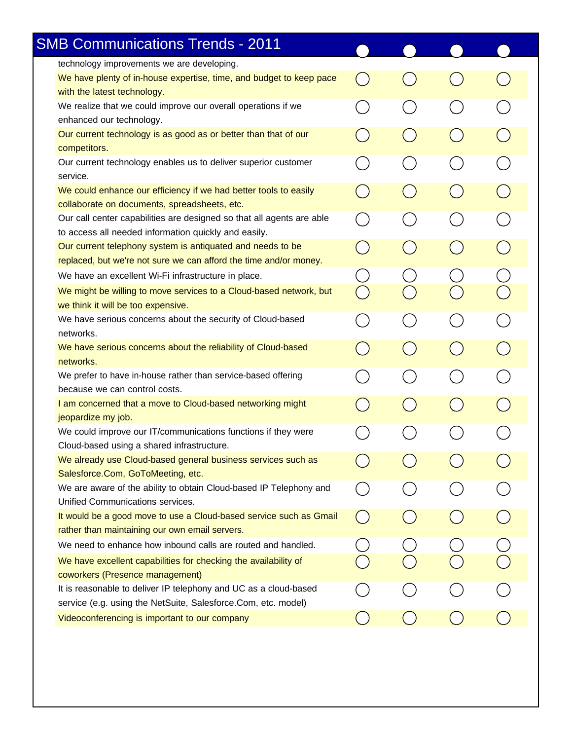| <b>SMB Communications Trends - 2011</b>                                                                                           |                                        |                                             |                             |
|-----------------------------------------------------------------------------------------------------------------------------------|----------------------------------------|---------------------------------------------|-----------------------------|
| technology improvements we are developing.                                                                                        |                                        |                                             |                             |
| We have plenty of in-house expertise, time, and budget to keep pace<br>with the latest technology.                                |                                        |                                             |                             |
| We realize that we could improve our overall operations if we<br>enhanced our technology.                                         |                                        |                                             |                             |
| Our current technology is as good as or better than that of our<br>competitors.                                                   |                                        | $\Box$                                      |                             |
| Our current technology enables us to deliver superior customer<br>service.                                                        |                                        |                                             |                             |
| We could enhance our efficiency if we had better tools to easily<br>collaborate on documents, spreadsheets, etc.                  | $\begin{pmatrix} 1 \\ 1 \end{pmatrix}$ | $\left(\begin{array}{c} \end{array}\right)$ | $(\Box$                     |
| Our call center capabilities are designed so that all agents are able<br>to access all needed information quickly and easily.     |                                        | $\mathcal{L}$                               |                             |
| Our current telephony system is antiquated and needs to be<br>replaced, but we're not sure we can afford the time and/or money.   | $\mathcal{L}(\mathcal{A})$             | $\mathcal{L}$                               |                             |
| We have an excellent Wi-Fi infrastructure in place.                                                                               |                                        |                                             |                             |
| We might be willing to move services to a Cloud-based network, but<br>we think it will be too expensive.                          |                                        |                                             |                             |
| We have serious concerns about the security of Cloud-based<br>networks.                                                           | $\begin{array}{c} \hline \end{array}$  |                                             | $\mathcal{L}^{\mathcal{A}}$ |
| We have serious concerns about the reliability of Cloud-based<br>networks.                                                        |                                        | $\mathcal{L}$                               | $\mathcal{L}$               |
| We prefer to have in-house rather than service-based offering<br>because we can control costs.                                    |                                        |                                             |                             |
| I am concerned that a move to Cloud-based networking might<br>jeopardize my job.                                                  |                                        |                                             |                             |
| We could improve our IT/communications functions if they were<br>Cloud-based using a shared infrastructure.                       |                                        |                                             |                             |
| We already use Cloud-based general business services such as<br>Salesforce.Com, GoToMeeting, etc.                                 |                                        |                                             |                             |
| We are aware of the ability to obtain Cloud-based IP Telephony and<br>Unified Communications services.                            |                                        |                                             |                             |
| It would be a good move to use a Cloud-based service such as Gmail<br>rather than maintaining our own email servers.              |                                        |                                             |                             |
| We need to enhance how inbound calls are routed and handled.                                                                      |                                        |                                             |                             |
| We have excellent capabilities for checking the availability of<br>coworkers (Presence management)                                |                                        |                                             |                             |
| It is reasonable to deliver IP telephony and UC as a cloud-based<br>service (e.g. using the NetSuite, Salesforce.Com, etc. model) |                                        |                                             |                             |
| Videoconferencing is important to our company                                                                                     |                                        |                                             |                             |